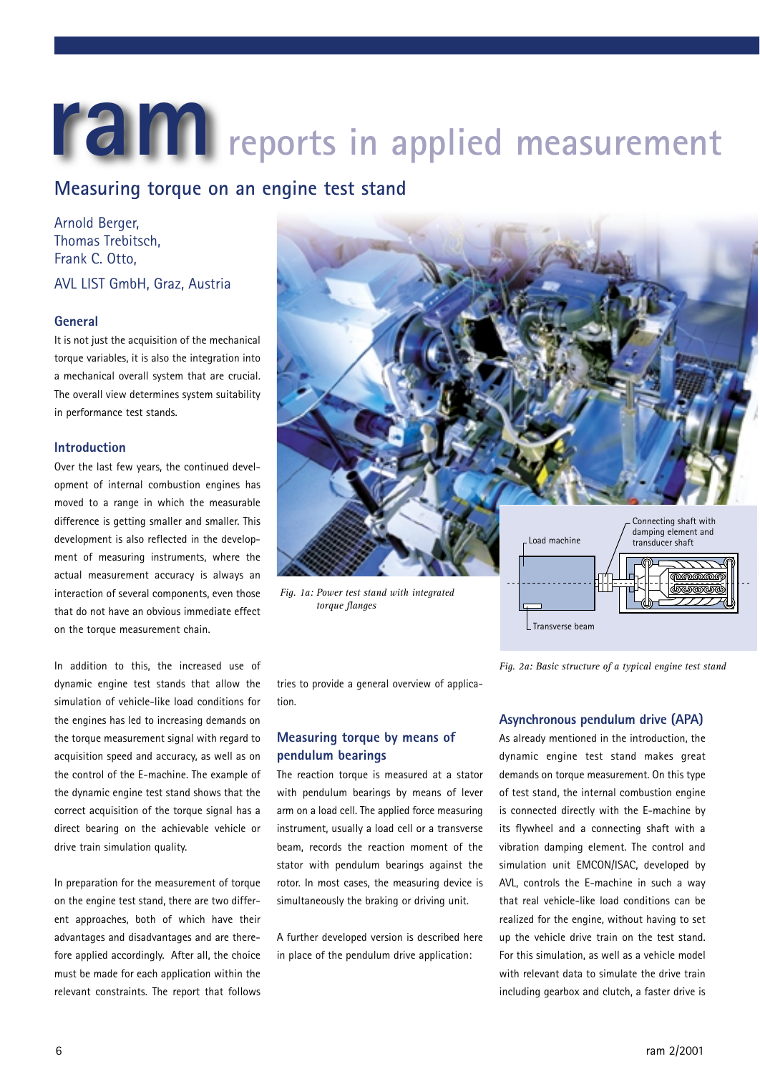# **ram** reports in applied measurement

# **Measuring torque on an engine test stand**

Arnold Berger, Thomas Trebitsch, Frank C. Otto, AVL LIST GmbH, Graz, Austria

### **General**

It is not just the acquisition of the mechanical torque variables, it is also the integration into a mechanical overall system that are crucial. The overall view determines system suitability in performance test stands.

### **Introduction**

Over the last few years, the continued development of internal combustion engines has moved to a range in which the measurable difference is getting smaller and smaller. This development is also reflected in the development of measuring instruments, where the actual measurement accuracy is always an interaction of several components, even those that do not have an obvious immediate effect on the torque measurement chain.

In addition to this, the increased use of dynamic engine test stands that allow the simulation of vehicle-like load conditions for the engines has led to increasing demands on the torque measurement signal with regard to acquisition speed and accuracy, as well as on the control of the E-machine. The example of the dynamic engine test stand shows that the correct acquisition of the torque signal has a direct bearing on the achievable vehicle or drive train simulation quality.

In preparation for the measurement of torque on the engine test stand, there are two different approaches, both of which have their advantages and disadvantages and are therefore applied accordingly. After all, the choice must be made for each application within the relevant constraints. The report that follows



*Fig. 1a: Power test stand with integrated torque flanges*

tries to provide a general overview of application.

# **Measuring torque by means of pendulum bearings**

The reaction torque is measured at a stator with pendulum bearings by means of lever arm on a load cell. The applied force measuring instrument, usually a load cell or a transverse beam, records the reaction moment of the stator with pendulum bearings against the rotor. In most cases, the measuring device is simultaneously the braking or driving unit.

A further developed version is described here in place of the pendulum drive application:

## **Asynchronous pendulum drive (APA)**

 $\mathsf L$  Transverse beam

*Fig. 2a: Basic structure of a typical engine test stand*

As already mentioned in the introduction, the dynamic engine test stand makes great demands on torque measurement. On this type of test stand, the internal combustion engine is connected directly with the E-machine by its flywheel and a connecting shaft with a vibration damping element. The control and simulation unit EMCON/ISAC, developed by AVL, controls the E-machine in such a way that real vehicle-like load conditions can be realized for the engine, without having to set up the vehicle drive train on the test stand. For this simulation, as well as a vehicle model with relevant data to simulate the drive train including gearbox and clutch, a faster drive is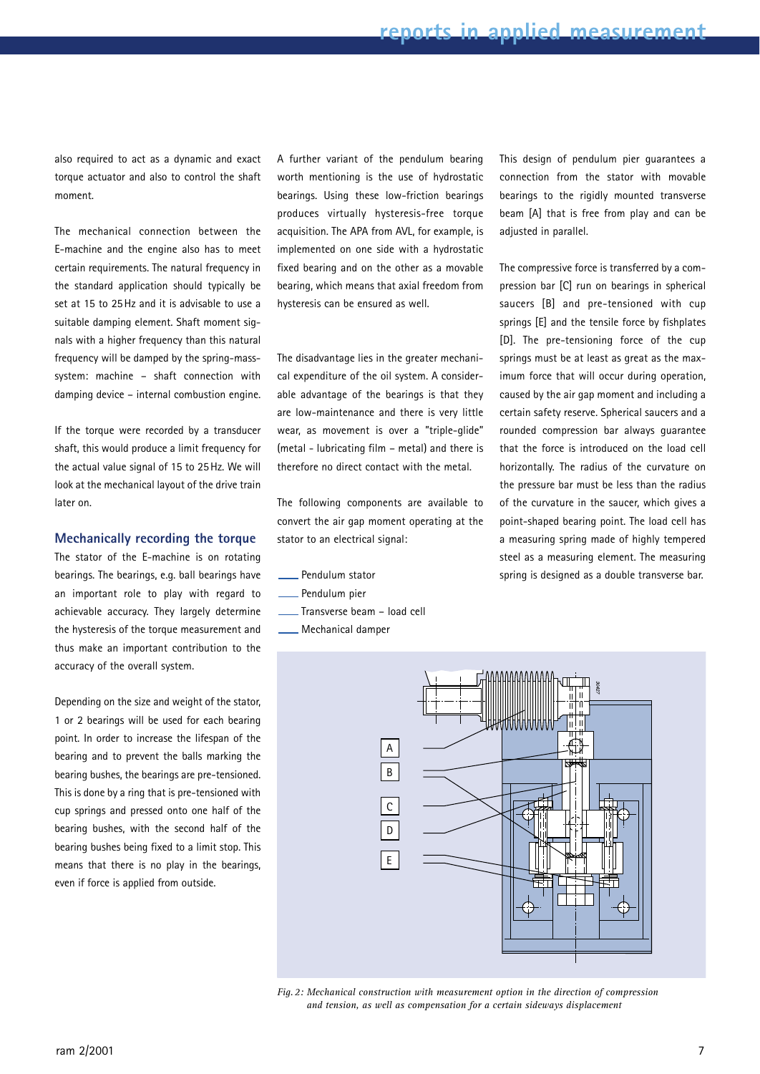also required to act as a dynamic and exact torque actuator and also to control the shaft moment.

The mechanical connection between the E-machine and the engine also has to meet certain requirements. The natural frequency in the standard application should typically be set at 15 to 25Hz and it is advisable to use a suitable damping element. Shaft moment signals with a higher frequency than this natural frequency will be damped by the spring-masssystem: machine – shaft connection with damping device – internal combustion engine.

If the torque were recorded by a transducer shaft, this would produce a limit frequency for the actual value signal of 15 to 25Hz. We will look at the mechanical layout of the drive train later on.

### **Mechanically recording the torque**

The stator of the E-machine is on rotating bearings. The bearings, e.g. ball bearings have an important role to play with regard to achievable accuracy. They largely determine the hysteresis of the torque measurement and thus make an important contribution to the accuracy of the overall system.

Depending on the size and weight of the stator, 1 or 2 bearings will be used for each bearing point. In order to increase the lifespan of the bearing and to prevent the balls marking the bearing bushes, the bearings are pre-tensioned. This is done by a ring that is pre-tensioned with cup springs and pressed onto one half of the bearing bushes, with the second half of the bearing bushes being fixed to a limit stop. This means that there is no play in the bearings, even if force is applied from outside.

A further variant of the pendulum bearing worth mentioning is the use of hydrostatic bearings. Using these low-friction bearings produces virtually hysteresis-free torque acquisition. The APA from AVL, for example, is implemented on one side with a hydrostatic fixed bearing and on the other as a movable bearing, which means that axial freedom from hysteresis can be ensured as well.

The disadvantage lies in the greater mechanical expenditure of the oil system. A considerable advantage of the bearings is that they are low-maintenance and there is very little wear, as movement is over a "triple-glide" (metal - lubricating film – metal) and there is

therefore no direct contact with the metal.

The following components are available to convert the air gap moment operating at the stator to an electrical signal:

- Pendulum stator
- Pendulum pier
- Transverse beam load cell
- Mechanical damper

This design of pendulum pier guarantees a connection from the stator with movable bearings to the rigidly mounted transverse beam [A] that is free from play and can be adjusted in parallel.

The compressive force is transferred by a compression bar [C] run on bearings in spherical saucers [B] and pre-tensioned with cup springs [E] and the tensile force by fishplates [D]. The pre-tensioning force of the cup springs must be at least as great as the maximum force that will occur during operation, caused by the air gap moment and including a certain safety reserve. Spherical saucers and a rounded compression bar always guarantee that the force is introduced on the load cell horizontally. The radius of the curvature on the pressure bar must be less than the radius of the curvature in the saucer, which gives a point-shaped bearing point. The load cell has a measuring spring made of highly tempered steel as a measuring element. The measuring spring is designed as a double transverse bar.



*Fig.2: Mechanical construction with measurement option in the direction of compression and tension, as well as compensation for a certain sideways displacement*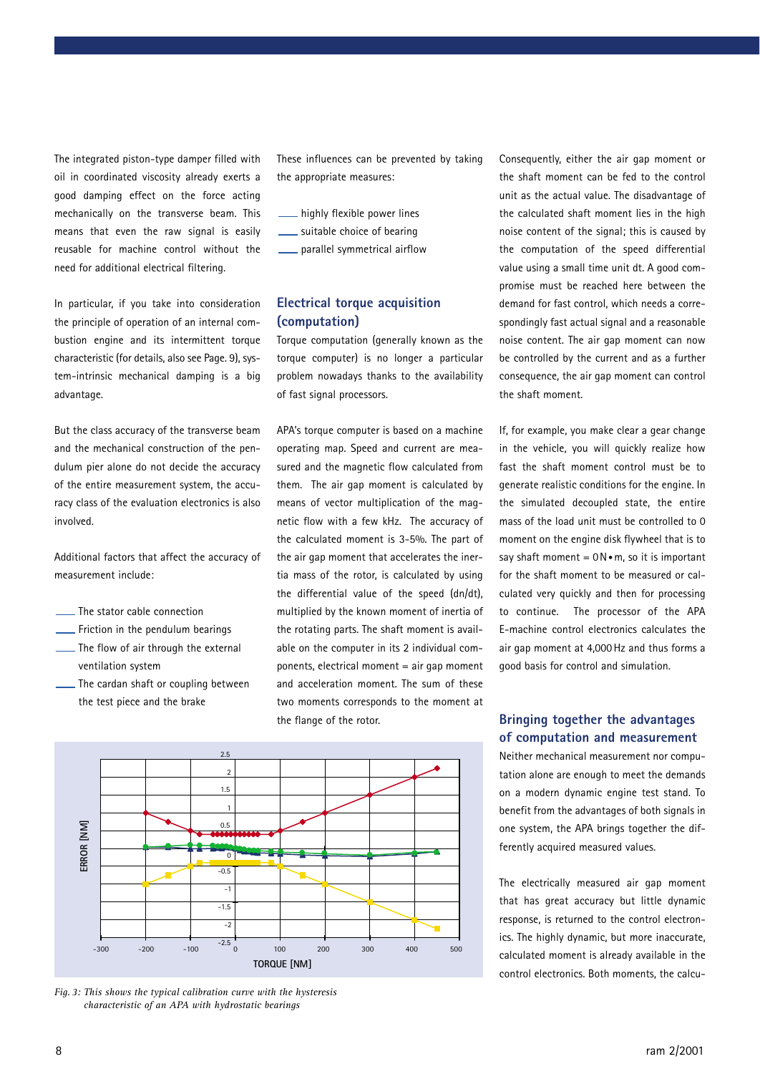The integrated piston-type damper filled with oil in coordinated viscosity already exerts a good damping effect on the force acting mechanically on the transverse beam. This means that even the raw signal is easily reusable for machine control without the need for additional electrical filtering.

In particular, if you take into consideration the principle of operation of an internal combustion engine and its intermittent torque characteristic (for details, also see Page. 9), system-intrinsic mechanical damping is a big advantage.

But the class accuracy of the transverse beam and the mechanical construction of the pendulum pier alone do not decide the accuracy of the entire measurement system, the accuracy class of the evaluation electronics is also involved.

Additional factors that affect the accuracy of measurement include:

- The stator cable connection
- Friction in the pendulum bearings
- The flow of air through the external ventilation system
- The cardan shaft or coupling between the test piece and the brake

These influences can be prevented by taking the appropriate measures:

- highly flexible power lines
- suitable choice of bearing
- parallel symmetrical airflow

# **Electrical torque acquisition (computation)**

Torque computation (generally known as the torque computer) is no longer a particular problem nowadays thanks to the availability of fast signal processors.

APA's torque computer is based on a machine operating map. Speed and current are measured and the magnetic flow calculated from them. The air gap moment is calculated by means of vector multiplication of the magnetic flow with a few kHz. The accuracy of the calculated moment is 3-5%. The part of the air gap moment that accelerates the inertia mass of the rotor, is calculated by using the differential value of the speed (dn/dt), multiplied by the known moment of inertia of the rotating parts. The shaft moment is available on the computer in its 2 individual components, electrical moment = air gap moment and acceleration moment. The sum of these two moments corresponds to the moment at the flange of the rotor.



*Fig.3: This shows the typical calibration curve with the hysteresis characteristic of an APA with hydrostatic bearings*

Consequently, either the air gap moment or the shaft moment can be fed to the control unit as the actual value. The disadvantage of the calculated shaft moment lies in the high noise content of the signal; this is caused by the computation of the speed differential value using a small time unit dt. A good compromise must be reached here between the demand for fast control, which needs a correspondingly fast actual signal and a reasonable noise content. The air gap moment can now be controlled by the current and as a further consequence, the air gap moment can control the shaft moment.

If, for example, you make clear a gear change in the vehicle, you will quickly realize how fast the shaft moment control must be to generate realistic conditions for the engine. In the simulated decoupled state, the entire mass of the load unit must be controlled to 0 moment on the engine disk flywheel that is to say shaft moment =  $0N \cdot m$ , so it is important for the shaft moment to be measured or calculated very quickly and then for processing to continue. The processor of the APA E-machine control electronics calculates the air gap moment at 4,000Hz and thus forms a good basis for control and simulation.

# **Bringing together the advantages of computation and measurement**

Neither mechanical measurement nor computation alone are enough to meet the demands on a modern dynamic engine test stand. To benefit from the advantages of both signals in one system, the APA brings together the differently acquired measured values.

The electrically measured air gap moment that has great accuracy but little dynamic response, is returned to the control electronics. The highly dynamic, but more inaccurate, calculated moment is already available in the control electronics. Both moments, the calcu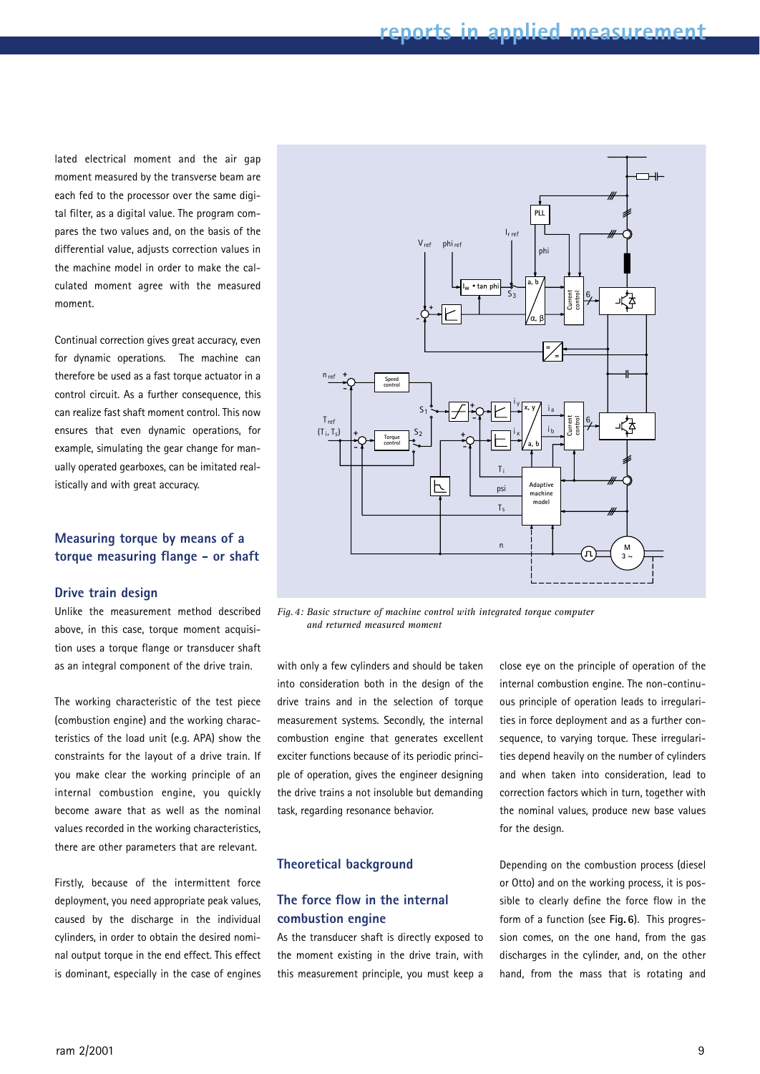lated electrical moment and the air gap moment measured by the transverse beam are each fed to the processor over the same digital filter, as a digital value. The program compares the two values and, on the basis of the differential value, adjusts correction values in the machine model in order to make the calculated moment agree with the measured moment.

Continual correction gives great accuracy, even for dynamic operations. The machine can therefore be used as a fast torque actuator in a control circuit. As a further consequence, this can realize fast shaft moment control. This now ensures that even dynamic operations, for example, simulating the gear change for manually operated gearboxes, can be imitated realistically and with great accuracy.

# **Measuring torque by means of a torque measuring flange - or shaft**

### **Drive train design**

Unlike the measurement method described above, in this case, torque moment acquisition uses a torque flange or transducer shaft as an integral component of the drive train.

The working characteristic of the test piece (combustion engine) and the working characteristics of the load unit (e.g. APA) show the constraints for the layout of a drive train. If you make clear the working principle of an internal combustion engine, you quickly become aware that as well as the nominal values recorded in the working characteristics, there are other parameters that are relevant.

Firstly, because of the intermittent force deployment, you need appropriate peak values, caused by the discharge in the individual cylinders, in order to obtain the desired nominal output torque in the end effect. This effect is dominant, especially in the case of engines



*Fig.4: Basic structure of machine control with integrated torque computer and returned measured moment*

with only a few cylinders and should be taken into consideration both in the design of the drive trains and in the selection of torque measurement systems. Secondly, the internal combustion engine that generates excellent exciter functions because of its periodic principle of operation, gives the engineer designing the drive trains a not insoluble but demanding task, regarding resonance behavior.

### **Theoretical background**

# **The force flow in the internal combustion engine**

As the transducer shaft is directly exposed to the moment existing in the drive train, with this measurement principle, you must keep a close eye on the principle of operation of the internal combustion engine. The non-continuous principle of operation leads to irregularities in force deployment and as a further consequence, to varying torque. These irregularities depend heavily on the number of cylinders and when taken into consideration, lead to correction factors which in turn, together with the nominal values, produce new base values for the design.

Depending on the combustion process (diesel or Otto) and on the working process, it is possible to clearly define the force flow in the form of a function (see **Fig.6**). This progression comes, on the one hand, from the gas discharges in the cylinder, and, on the other hand, from the mass that is rotating and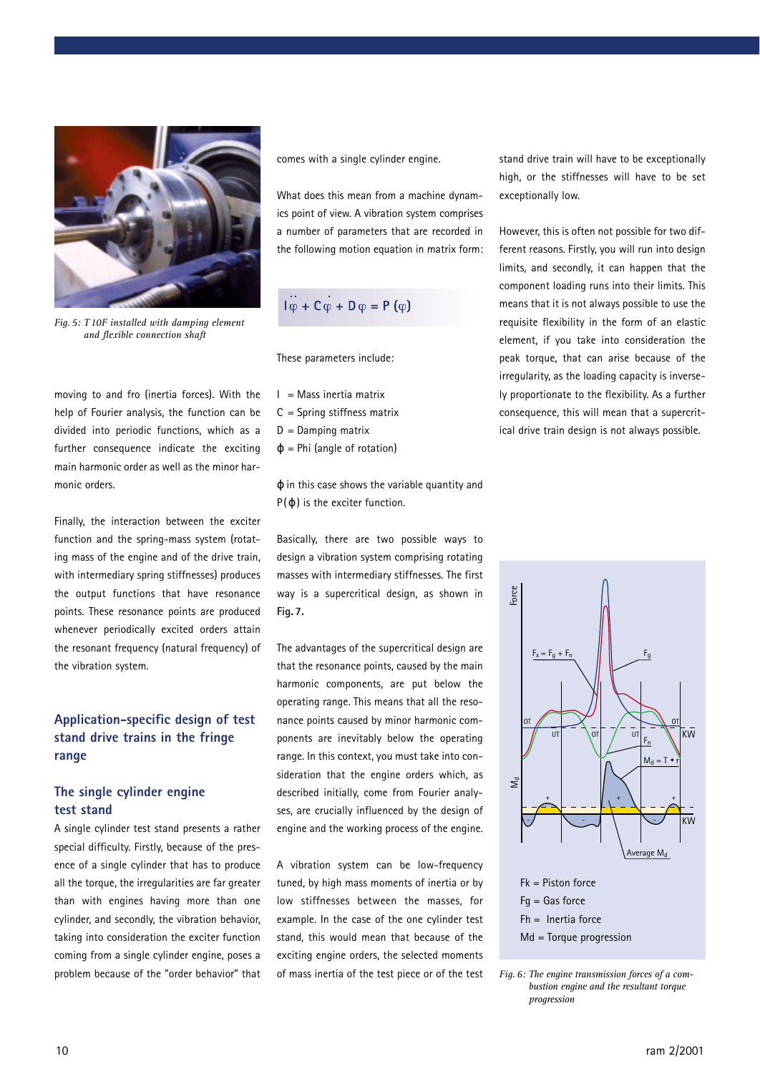

*Fig.5: T10F installed with damping element and flexible connection shaft*

moving to and fro (inertia forces). With the help of Fourier analysis, the function can be divided into periodic functions, which as a further consequence indicate the exciting main harmonic order as well as the minor harmonic orders.

Finally, the interaction between the exciter function and the spring-mass system (rotating mass of the engine and of the drive train, with intermediary spring stiffnesses) produces the output functions that have resonance points. These resonance points are produced whenever periodically excited orders attain the resonant frequency (natural frequency) of the vibration system.

# **Application-specific design of test stand drive trains in the fringe range**

# **The single cylinder engine test stand**

A single cylinder test stand presents a rather special difficulty. Firstly, because of the presence of a single cylinder that has to produce all the torque, the irregularities are far greater than with engines having more than one cylinder, and secondly, the vibration behavior, taking into consideration the exciter function coming from a single cylinder engine, poses a problem because of the "order behavior" that

comes with a single cylinder engine.

What does this mean from a machine dynamics point of view. A vibration system comprises a number of parameters that are recorded in the following motion equation in matrix form:

$$
\overline{\mathsf{I}\phi} + \mathsf{C}\phi + \mathsf{D}\phi = \mathsf{P}\left(\phi\right)
$$

These parameters include:

- $I =$  Mass inertia matrix
- $C =$  Spring stiffness matrix
- $D =$ Damping matrix
- $\varphi$  = Phi (angle of rotation)

ϕ in this case shows the variable quantity and  $P(\varphi)$  is the exciter function.

Basically, there are two possible ways to design a vibration system comprising rotating masses with intermediary stiffnesses. The first way is a supercritical design, as shown in **Fig.7.**

The advantages of the supercritical design are that the resonance points, caused by the main harmonic components, are put below the operating range. This means that all the resonance points caused by minor harmonic components are inevitably below the operating range. In this context, you must take into consideration that the engine orders which, as described initially, come from Fourier analyses, are crucially influenced by the design of engine and the working process of the engine.

A vibration system can be low-frequency tuned, by high mass moments of inertia or by low stiffnesses between the masses, for example. In the case of the one cylinder test stand, this would mean that because of the exciting engine orders, the selected moments of mass inertia of the test piece or of the test stand drive train will have to be exceptionally high, or the stiffnesses will have to be set exceptionally low.

However, this is often not possible for two different reasons. Firstly, you will run into design limits, and secondly, it can happen that the component loading runs into their limits. This means that it is not always possible to use the requisite flexibility in the form of an elastic element, if you take into consideration the peak torque, that can arise because of the irregularity, as the loading capacity is inversely proportionate to the flexibility. As a further consequence, this will mean that a supercritical drive train design is not always possible.



Fk = Piston force  $Fq = Gas$  force  $Fh =$  Inertia force Md = Torque progression

*Fig.6: The engine transmission forces of a combustion engine and the resultant torque progression*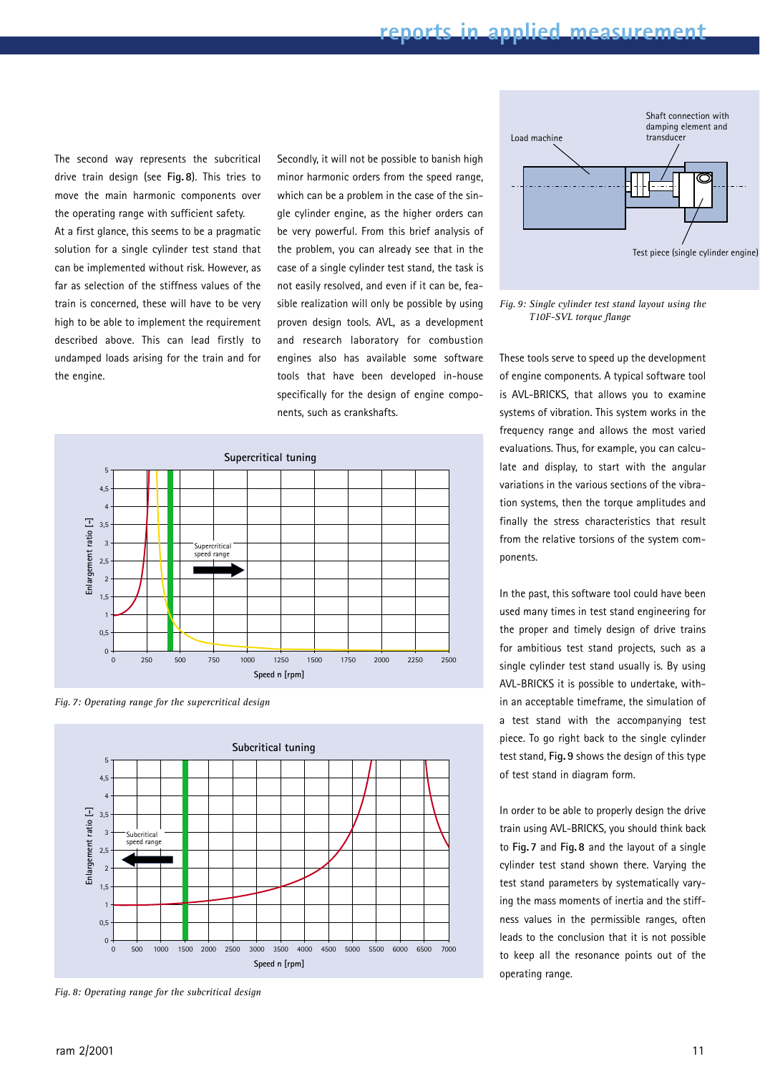The second way represents the subcritical drive train design (see **Fig.8**). This tries to move the main harmonic components over the operating range with sufficient safety.

At a first glance, this seems to be a pragmatic solution for a single cylinder test stand that can be implemented without risk. However, as far as selection of the stiffness values of the train is concerned, these will have to be very high to be able to implement the requirement described above. This can lead firstly to undamped loads arising for the train and for the engine.

Secondly, it will not be possible to banish high minor harmonic orders from the speed range, which can be a problem in the case of the single cylinder engine, as the higher orders can be very powerful. From this brief analysis of the problem, you can already see that in the case of a single cylinder test stand, the task is not easily resolved, and even if it can be, feasible realization will only be possible by using proven design tools. AVL, as a development and research laboratory for combustion engines also has available some software tools that have been developed in-house specifically for the design of engine components, such as crankshafts.



*Fig.7: Operating range for the supercritical design*



*Fig.8: Operating range for the subcritical design*



### *Fig.9: Single cylinder test stand layout using the T10F-SVL torque flange*

These tools serve to speed up the development of engine components. A typical software tool is AVL-BRICKS, that allows you to examine systems of vibration. This system works in the frequency range and allows the most varied evaluations. Thus, for example, you can calculate and display, to start with the angular variations in the various sections of the vibration systems, then the torque amplitudes and finally the stress characteristics that result from the relative torsions of the system components.

In the past, this software tool could have been used many times in test stand engineering for the proper and timely design of drive trains for ambitious test stand projects, such as a single cylinder test stand usually is. By using AVL-BRICKS it is possible to undertake, within an acceptable timeframe, the simulation of a test stand with the accompanying test piece. To go right back to the single cylinder test stand, **Fig.9** shows the design of this type of test stand in diagram form.

In order to be able to properly design the drive train using AVL-BRICKS, you should think back to **Fig.7** and **Fig.8** and the layout of a single cylinder test stand shown there. Varying the test stand parameters by systematically varying the mass moments of inertia and the stiffness values in the permissible ranges, often leads to the conclusion that it is not possible to keep all the resonance points out of the operating range.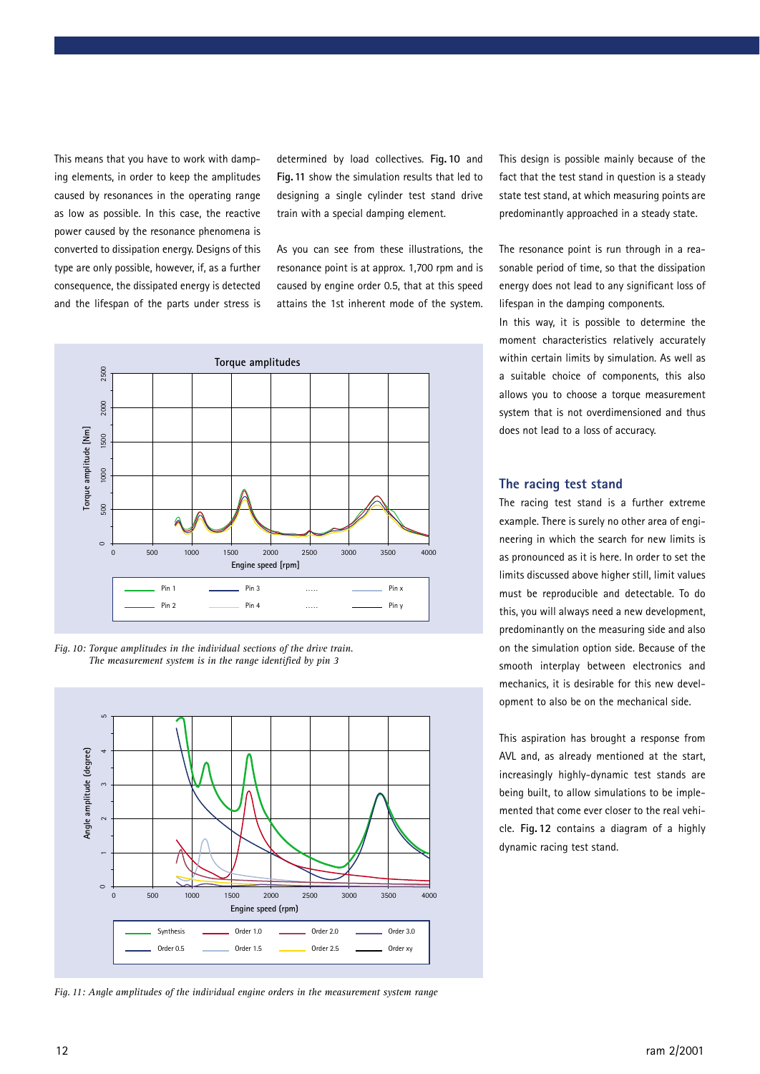This means that you have to work with damping elements, in order to keep the amplitudes caused by resonances in the operating range as low as possible. In this case, the reactive power caused by the resonance phenomena is converted to dissipation energy. Designs of this type are only possible, however, if, as a further consequence, the dissipated energy is detected and the lifespan of the parts under stress is

determined by load collectives. **Fig.10** and **Fig.11** show the simulation results that led to designing a single cylinder test stand drive train with a special damping element.

As you can see from these illustrations, the resonance point is at approx. 1,700 rpm and is caused by engine order 0.5, that at this speed attains the 1st inherent mode of the system.







*Fig.11: Angle amplitudes of the individual engine orders in the measurement system range*

This design is possible mainly because of the fact that the test stand in question is a steady state test stand, at which measuring points are predominantly approached in a steady state.

The resonance point is run through in a reasonable period of time, so that the dissipation energy does not lead to any significant loss of lifespan in the damping components.

In this way, it is possible to determine the moment characteristics relatively accurately within certain limits by simulation. As well as a suitable choice of components, this also allows you to choose a torque measurement system that is not overdimensioned and thus does not lead to a loss of accuracy.

### **The racing test stand**

The racing test stand is a further extreme example. There is surely no other area of engineering in which the search for new limits is as pronounced as it is here. In order to set the limits discussed above higher still, limit values must be reproducible and detectable. To do this, you will always need a new development, predominantly on the measuring side and also on the simulation option side. Because of the smooth interplay between electronics and mechanics, it is desirable for this new development to also be on the mechanical side.

This aspiration has brought a response from AVL and, as already mentioned at the start, increasingly highly-dynamic test stands are being built, to allow simulations to be implemented that come ever closer to the real vehicle. **Fig.12** contains a diagram of a highly dynamic racing test stand.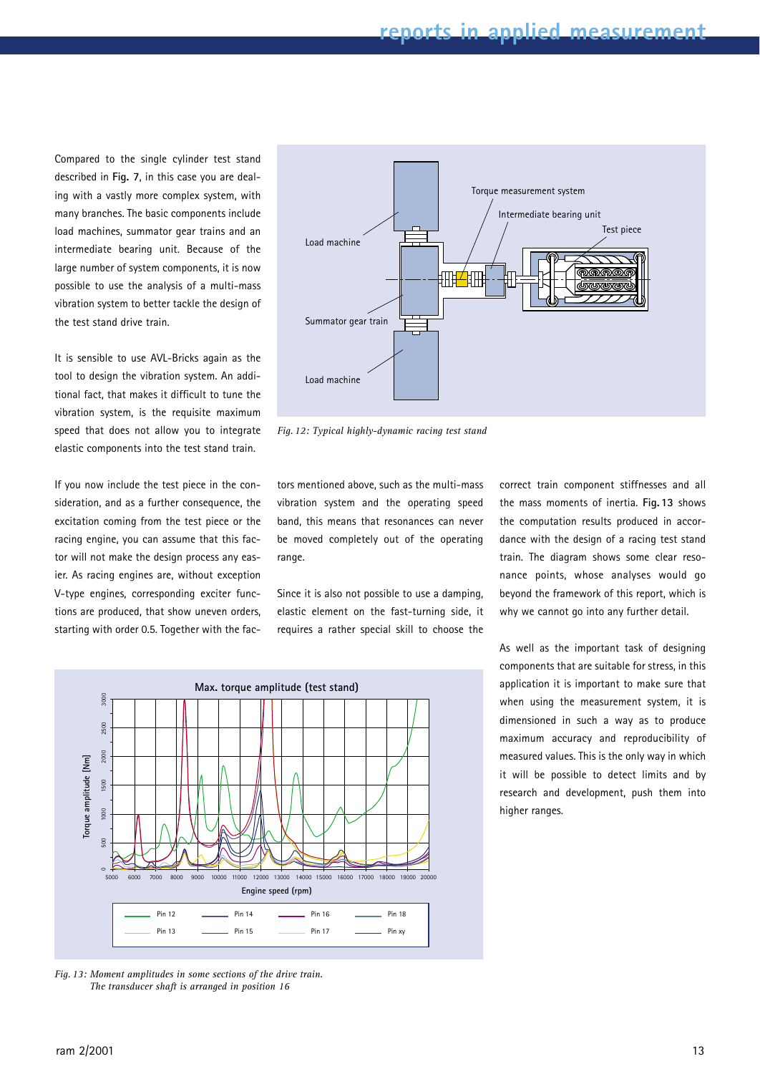Compared to the single cylinder test stand described in **Fig. 7**, in this case you are dealing with a vastly more complex system, with many branches. The basic components include load machines, summator gear trains and an intermediate bearing unit. Because of the large number of system components, it is now possible to use the analysis of a multi-mass vibration system to better tackle the design of the test stand drive train.

It is sensible to use AVL-Bricks again as the tool to design the vibration system. An additional fact, that makes it difficult to tune the vibration system, is the requisite maximum speed that does not allow you to integrate elastic components into the test stand train.

If you now include the test piece in the consideration, and as a further consequence, the excitation coming from the test piece or the racing engine, you can assume that this factor will not make the design process any easier. As racing engines are, without exception V-type engines, corresponding exciter functions are produced, that show uneven orders, starting with order 0.5. Together with the fac-



*Fig.12: Typical highly-dynamic racing test stand*

tors mentioned above, such as the multi-mass vibration system and the operating speed band, this means that resonances can never be moved completely out of the operating range.

Since it is also not possible to use a damping, elastic element on the fast-turning side, it requires a rather special skill to choose the correct train component stiffnesses and all the mass moments of inertia. **Fig.13** shows the computation results produced in accordance with the design of a racing test stand train. The diagram shows some clear resonance points, whose analyses would go beyond the framework of this report, which is why we cannot go into any further detail.

As well as the important task of designing components that are suitable for stress, in this application it is important to make sure that when using the measurement system, it is dimensioned in such a way as to produce maximum accuracy and reproducibility of measured values. This is the only way in which it will be possible to detect limits and by research and development, push them into higher ranges.



*Fig.13: Moment amplitudes in some sections of the drive train. The transducer shaft is arranged in position 16*